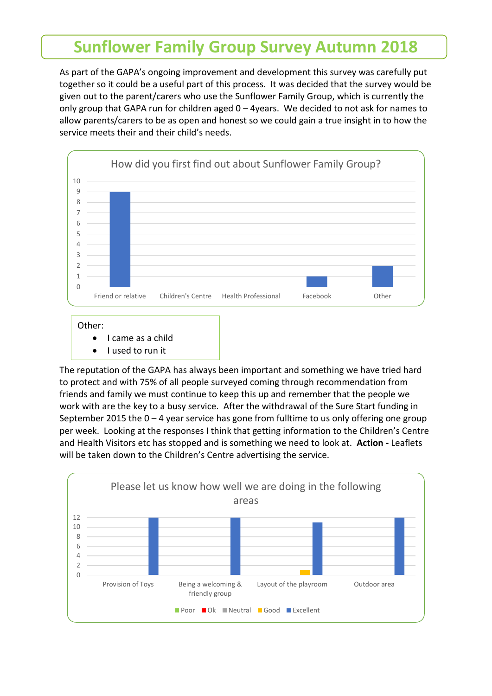## **Sunflower Family Group Survey Autumn 2018**

As part of the GAPA's ongoing improvement and development this survey was carefully put together so it could be a useful part of this process. It was decided that the survey would be given out to the parent/carers who use the Sunflower Family Group, which is currently the only group that GAPA run for children aged  $0 - 4$ years. We decided to not ask for names to allow parents/carers to be as open and honest so we could gain a true insight in to how the service meets their and their child's needs.



• I came as a child

• I used to run it

The reputation of the GAPA has always been important and something we have tried hard to protect and with 75% of all people surveyed coming through recommendation from friends and family we must continue to keep this up and remember that the people we work with are the key to a busy service. After the withdrawal of the Sure Start funding in September 2015 the  $0 - 4$  year service has gone from fulltime to us only offering one group per week. Looking at the responses I think that getting information to the Children's Centre and Health Visitors etc has stopped and is something we need to look at. **Action -** Leaflets will be taken down to the Children's Centre advertising the service.

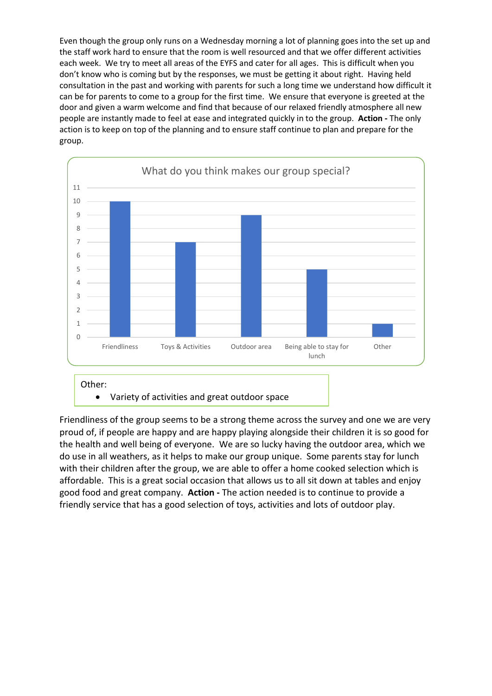Even though the group only runs on a Wednesday morning a lot of planning goes into the set up and the staff work hard to ensure that the room is well resourced and that we offer different activities each week. We try to meet all areas of the EYFS and cater for all ages. This is difficult when you don't know who is coming but by the responses, we must be getting it about right. Having held consultation in the past and working with parents for such a long time we understand how difficult it can be for parents to come to a group for the first time. We ensure that everyone is greeted at the door and given a warm welcome and find that because of our relaxed friendly atmosphere all new people are instantly made to feel at ease and integrated quickly in to the group. **Action -** The only action is to keep on top of the planning and to ensure staff continue to plan and prepare for the group.



Friendliness of the group seems to be a strong theme across the survey and one we are very proud of, if people are happy and are happy playing alongside their children it is so good for the health and well being of everyone. We are so lucky having the outdoor area, which we do use in all weathers, as it helps to make our group unique. Some parents stay for lunch with their children after the group, we are able to offer a home cooked selection which is affordable. This is a great social occasion that allows us to all sit down at tables and enjoy good food and great company. **Action -** The action needed is to continue to provide a friendly service that has a good selection of toys, activities and lots of outdoor play.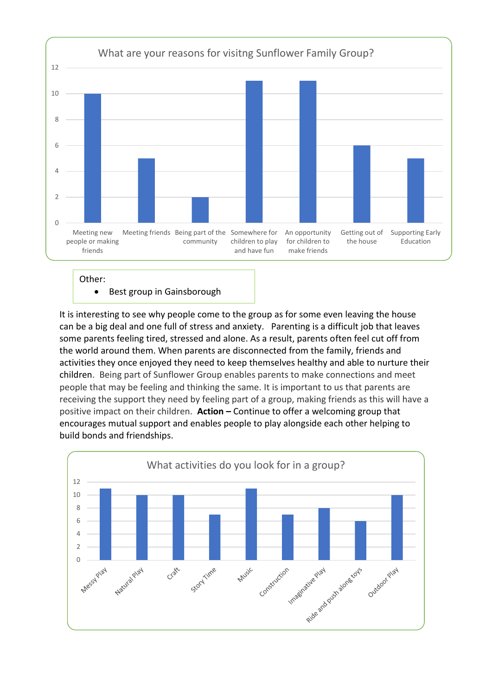

Other:

• Best group in Gainsborough

It is interesting to see why people come to the group as for some even leaving the house can be a big deal and one full of stress and anxiety. Parenting is a difficult job that leaves some parents feeling tired, stressed and alone. As a result, parents often feel cut off from the world around them. When parents are disconnected from the family, friends and activities they once enjoyed they need to keep themselves healthy and able to nurture their children. Being part of Sunflower Group enables parents to make connections and meet people that may be feeling and thinking the same. It is important to us that parents are receiving the support they need by feeling part of a group, making friends as this will have a positive impact on their children. **Action –** Continue to offer a welcoming group that encourages mutual support and enables people to play alongside each other helping to build bonds and friendships.